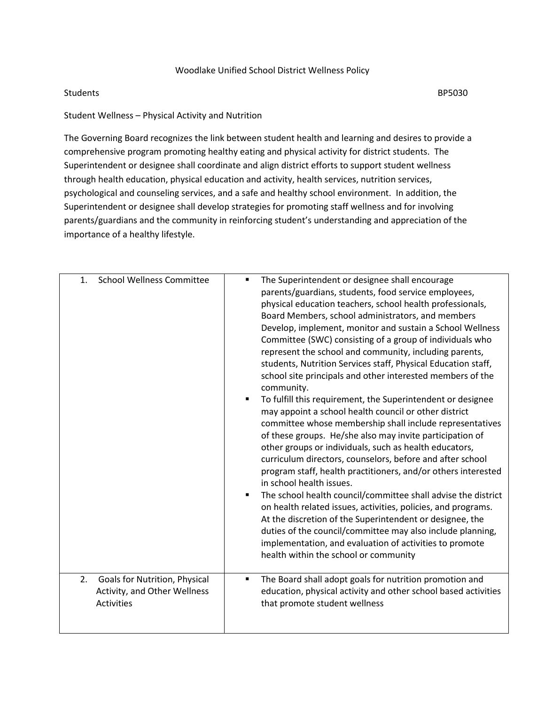## Woodlake Unified School District Wellness Policy

## Students **BP5030**

Student Wellness – Physical Activity and Nutrition

The Governing Board recognizes the link between student health and learning and desires to provide a comprehensive program promoting healthy eating and physical activity for district students. The Superintendent or designee shall coordinate and align district efforts to support student wellness through health education, physical education and activity, health services, nutrition services, psychological and counseling services, and a safe and healthy school environment. In addition, the Superintendent or designee shall develop strategies for promoting staff wellness and for involving parents/guardians and the community in reinforcing student's understanding and appreciation of the importance of a healthy lifestyle.

| <b>School Wellness Committee</b> | The Superintendent or designee shall encourage                                                                                                                                                                                                                                                                                                                                                                                                                                                                                                                                                                                                                                                                                                                                                                                                                                                                                                                                                                                                                                                                                                                                                                                                                                                                                                  |
|----------------------------------|-------------------------------------------------------------------------------------------------------------------------------------------------------------------------------------------------------------------------------------------------------------------------------------------------------------------------------------------------------------------------------------------------------------------------------------------------------------------------------------------------------------------------------------------------------------------------------------------------------------------------------------------------------------------------------------------------------------------------------------------------------------------------------------------------------------------------------------------------------------------------------------------------------------------------------------------------------------------------------------------------------------------------------------------------------------------------------------------------------------------------------------------------------------------------------------------------------------------------------------------------------------------------------------------------------------------------------------------------|
| 1.                               | ٠                                                                                                                                                                                                                                                                                                                                                                                                                                                                                                                                                                                                                                                                                                                                                                                                                                                                                                                                                                                                                                                                                                                                                                                                                                                                                                                                               |
|                                  | parents/guardians, students, food service employees,<br>physical education teachers, school health professionals,<br>Board Members, school administrators, and members<br>Develop, implement, monitor and sustain a School Wellness<br>Committee (SWC) consisting of a group of individuals who<br>represent the school and community, including parents,<br>students, Nutrition Services staff, Physical Education staff,<br>school site principals and other interested members of the<br>community.<br>To fulfill this requirement, the Superintendent or designee<br>٠<br>may appoint a school health council or other district<br>committee whose membership shall include representatives<br>of these groups. He/she also may invite participation of<br>other groups or individuals, such as health educators,<br>curriculum directors, counselors, before and after school<br>program staff, health practitioners, and/or others interested<br>in school health issues.<br>The school health council/committee shall advise the district<br>on health related issues, activities, policies, and programs.<br>At the discretion of the Superintendent or designee, the<br>duties of the council/committee may also include planning,<br>implementation, and evaluation of activities to promote<br>health within the school or community |
| Goals for Nutrition, Physical    | The Board shall adopt goals for nutrition promotion and                                                                                                                                                                                                                                                                                                                                                                                                                                                                                                                                                                                                                                                                                                                                                                                                                                                                                                                                                                                                                                                                                                                                                                                                                                                                                         |
| 2.                               | ٠                                                                                                                                                                                                                                                                                                                                                                                                                                                                                                                                                                                                                                                                                                                                                                                                                                                                                                                                                                                                                                                                                                                                                                                                                                                                                                                                               |
| Activity, and Other Wellness     | education, physical activity and other school based activities                                                                                                                                                                                                                                                                                                                                                                                                                                                                                                                                                                                                                                                                                                                                                                                                                                                                                                                                                                                                                                                                                                                                                                                                                                                                                  |
| <b>Activities</b>                | that promote student wellness                                                                                                                                                                                                                                                                                                                                                                                                                                                                                                                                                                                                                                                                                                                                                                                                                                                                                                                                                                                                                                                                                                                                                                                                                                                                                                                   |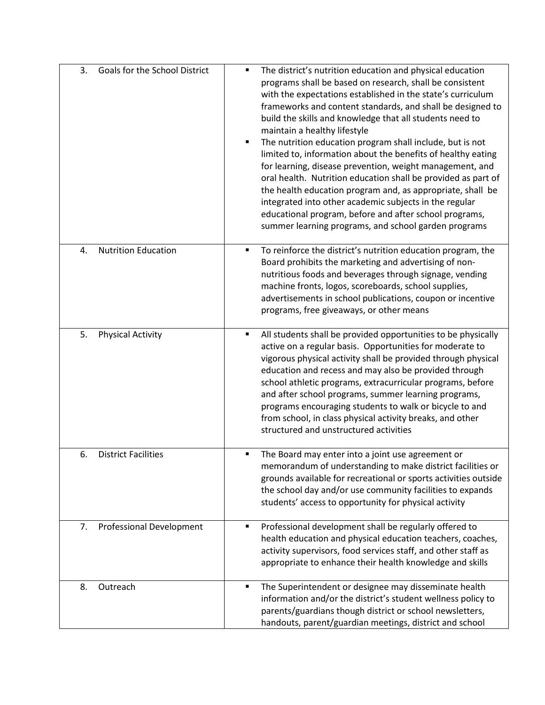| 3. | Goals for the School District   | The district's nutrition education and physical education<br>$\blacksquare$<br>programs shall be based on research, shall be consistent<br>with the expectations established in the state's curriculum<br>frameworks and content standards, and shall be designed to<br>build the skills and knowledge that all students need to<br>maintain a healthy lifestyle<br>The nutrition education program shall include, but is not<br>$\blacksquare$<br>limited to, information about the benefits of healthy eating<br>for learning, disease prevention, weight management, and<br>oral health. Nutrition education shall be provided as part of<br>the health education program and, as appropriate, shall be<br>integrated into other academic subjects in the regular<br>educational program, before and after school programs,<br>summer learning programs, and school garden programs |
|----|---------------------------------|----------------------------------------------------------------------------------------------------------------------------------------------------------------------------------------------------------------------------------------------------------------------------------------------------------------------------------------------------------------------------------------------------------------------------------------------------------------------------------------------------------------------------------------------------------------------------------------------------------------------------------------------------------------------------------------------------------------------------------------------------------------------------------------------------------------------------------------------------------------------------------------|
| 4. | <b>Nutrition Education</b>      | To reinforce the district's nutrition education program, the<br>٠<br>Board prohibits the marketing and advertising of non-<br>nutritious foods and beverages through signage, vending<br>machine fronts, logos, scoreboards, school supplies,<br>advertisements in school publications, coupon or incentive<br>programs, free giveaways, or other means                                                                                                                                                                                                                                                                                                                                                                                                                                                                                                                                |
| 5. | <b>Physical Activity</b>        | All students shall be provided opportunities to be physically<br>$\blacksquare$<br>active on a regular basis. Opportunities for moderate to<br>vigorous physical activity shall be provided through physical<br>education and recess and may also be provided through<br>school athletic programs, extracurricular programs, before<br>and after school programs, summer learning programs,<br>programs encouraging students to walk or bicycle to and<br>from school, in class physical activity breaks, and other<br>structured and unstructured activities                                                                                                                                                                                                                                                                                                                          |
| 6. | <b>District Facilities</b>      | The Board may enter into a joint use agreement or<br>٠<br>memorandum of understanding to make district facilities or<br>grounds available for recreational or sports activities outside<br>the school day and/or use community facilities to expands<br>students' access to opportunity for physical activity                                                                                                                                                                                                                                                                                                                                                                                                                                                                                                                                                                          |
| 7. | <b>Professional Development</b> | Professional development shall be regularly offered to<br>$\blacksquare$<br>health education and physical education teachers, coaches,<br>activity supervisors, food services staff, and other staff as<br>appropriate to enhance their health knowledge and skills                                                                                                                                                                                                                                                                                                                                                                                                                                                                                                                                                                                                                    |
| 8. | Outreach                        | The Superintendent or designee may disseminate health<br>$\blacksquare$<br>information and/or the district's student wellness policy to<br>parents/guardians though district or school newsletters,<br>handouts, parent/guardian meetings, district and school                                                                                                                                                                                                                                                                                                                                                                                                                                                                                                                                                                                                                         |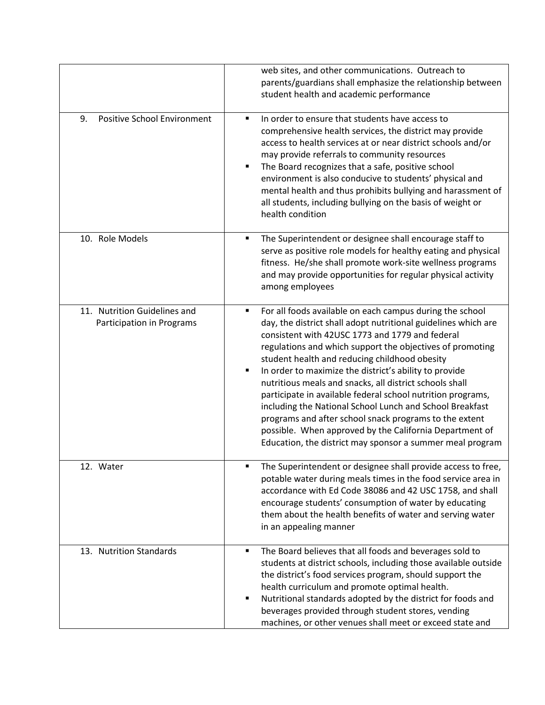|                                                                  | web sites, and other communications. Outreach to<br>parents/guardians shall emphasize the relationship between<br>student health and academic performance                                                                                                                                                                                                                                                                                                                                                                                                                                                                                                                                                                                            |
|------------------------------------------------------------------|------------------------------------------------------------------------------------------------------------------------------------------------------------------------------------------------------------------------------------------------------------------------------------------------------------------------------------------------------------------------------------------------------------------------------------------------------------------------------------------------------------------------------------------------------------------------------------------------------------------------------------------------------------------------------------------------------------------------------------------------------|
| <b>Positive School Environment</b><br>9.                         | In order to ensure that students have access to<br>٠<br>comprehensive health services, the district may provide<br>access to health services at or near district schools and/or<br>may provide referrals to community resources<br>The Board recognizes that a safe, positive school<br>$\blacksquare$<br>environment is also conducive to students' physical and<br>mental health and thus prohibits bullying and harassment of<br>all students, including bullying on the basis of weight or<br>health condition                                                                                                                                                                                                                                   |
| 10. Role Models                                                  | The Superintendent or designee shall encourage staff to<br>٠<br>serve as positive role models for healthy eating and physical<br>fitness. He/she shall promote work-site wellness programs<br>and may provide opportunities for regular physical activity<br>among employees                                                                                                                                                                                                                                                                                                                                                                                                                                                                         |
| 11. Nutrition Guidelines and<br><b>Participation in Programs</b> | For all foods available on each campus during the school<br>٠<br>day, the district shall adopt nutritional guidelines which are<br>consistent with 42USC 1773 and 1779 and federal<br>regulations and which support the objectives of promoting<br>student health and reducing childhood obesity<br>In order to maximize the district's ability to provide<br>$\blacksquare$<br>nutritious meals and snacks, all district schools shall<br>participate in available federal school nutrition programs,<br>including the National School Lunch and School Breakfast<br>programs and after school snack programs to the extent<br>possible. When approved by the California Department of<br>Education, the district may sponsor a summer meal program |
| 12. Water                                                        | The Superintendent or designee shall provide access to free,<br>potable water during meals times in the food service area in<br>accordance with Ed Code 38086 and 42 USC 1758, and shall<br>encourage students' consumption of water by educating<br>them about the health benefits of water and serving water<br>in an appealing manner                                                                                                                                                                                                                                                                                                                                                                                                             |
| 13. Nutrition Standards                                          | The Board believes that all foods and beverages sold to<br>٠<br>students at district schools, including those available outside<br>the district's food services program, should support the<br>health curriculum and promote optimal health.<br>Nutritional standards adopted by the district for foods and<br>п<br>beverages provided through student stores, vending<br>machines, or other venues shall meet or exceed state and                                                                                                                                                                                                                                                                                                                   |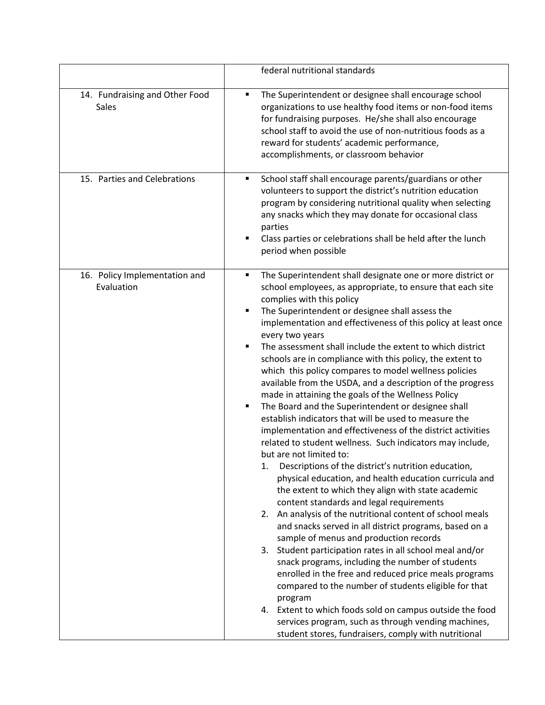|                                                | federal nutritional standards                                                                                                                                                                                                                                                                                                                                                                                                                                                                                                                                                                                                                                                                                                                                                                                                                                                                                                                                                                                                                                                                                                                                                                                                                                                                                                                                                                                                                                                                                                                                                                                                                                                                                  |
|------------------------------------------------|----------------------------------------------------------------------------------------------------------------------------------------------------------------------------------------------------------------------------------------------------------------------------------------------------------------------------------------------------------------------------------------------------------------------------------------------------------------------------------------------------------------------------------------------------------------------------------------------------------------------------------------------------------------------------------------------------------------------------------------------------------------------------------------------------------------------------------------------------------------------------------------------------------------------------------------------------------------------------------------------------------------------------------------------------------------------------------------------------------------------------------------------------------------------------------------------------------------------------------------------------------------------------------------------------------------------------------------------------------------------------------------------------------------------------------------------------------------------------------------------------------------------------------------------------------------------------------------------------------------------------------------------------------------------------------------------------------------|
| 14. Fundraising and Other Food<br><b>Sales</b> | The Superintendent or designee shall encourage school<br>П<br>organizations to use healthy food items or non-food items<br>for fundraising purposes. He/she shall also encourage<br>school staff to avoid the use of non-nutritious foods as a<br>reward for students' academic performance,<br>accomplishments, or classroom behavior                                                                                                                                                                                                                                                                                                                                                                                                                                                                                                                                                                                                                                                                                                                                                                                                                                                                                                                                                                                                                                                                                                                                                                                                                                                                                                                                                                         |
| 15. Parties and Celebrations                   | School staff shall encourage parents/guardians or other<br>٠<br>volunteers to support the district's nutrition education<br>program by considering nutritional quality when selecting<br>any snacks which they may donate for occasional class<br>parties<br>Class parties or celebrations shall be held after the lunch<br>п<br>period when possible                                                                                                                                                                                                                                                                                                                                                                                                                                                                                                                                                                                                                                                                                                                                                                                                                                                                                                                                                                                                                                                                                                                                                                                                                                                                                                                                                          |
| 16. Policy Implementation and<br>Evaluation    | The Superintendent shall designate one or more district or<br>٠<br>school employees, as appropriate, to ensure that each site<br>complies with this policy<br>The Superintendent or designee shall assess the<br>٠<br>implementation and effectiveness of this policy at least once<br>every two years<br>The assessment shall include the extent to which district<br>п<br>schools are in compliance with this policy, the extent to<br>which this policy compares to model wellness policies<br>available from the USDA, and a description of the progress<br>made in attaining the goals of the Wellness Policy<br>The Board and the Superintendent or designee shall<br>٠<br>establish indicators that will be used to measure the<br>implementation and effectiveness of the district activities<br>related to student wellness. Such indicators may include,<br>but are not limited to:<br>Descriptions of the district's nutrition education,<br>1.<br>physical education, and health education curricula and<br>the extent to which they align with state academic<br>content standards and legal requirements<br>2. An analysis of the nutritional content of school meals<br>and snacks served in all district programs, based on a<br>sample of menus and production records<br>3. Student participation rates in all school meal and/or<br>snack programs, including the number of students<br>enrolled in the free and reduced price meals programs<br>compared to the number of students eligible for that<br>program<br>4. Extent to which foods sold on campus outside the food<br>services program, such as through vending machines,<br>student stores, fundraisers, comply with nutritional |